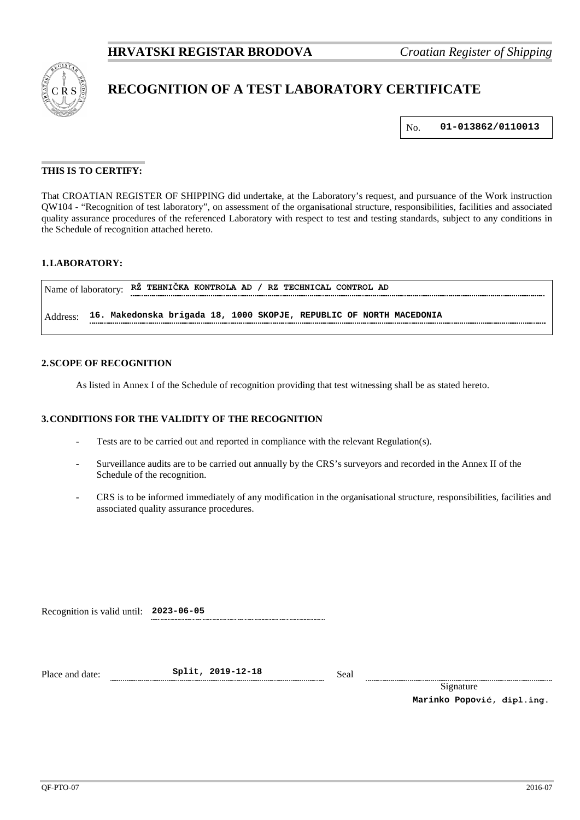

# **RECOGNITION OF A TEST LABORATORY CERTIFICATE**

No. **01-013862/0110013**

## **THIS IS TO CERTIFY:**

That CROATIAN REGISTER OF SHIPPING did undertake, at the Laboratory's request, and pursuance of the Work instruction QW104 - "Recognition of test laboratory", on assessment of the organisational structure, responsibilities, facilities and associated quality assurance procedures of the referenced Laboratory with respect to test and testing standards, subject to any conditions in the Schedule of recognition attached hereto.

# **1.LABORATORY:**

| RZ TEHNICKA KONTROLA AD / RZ TECHNICAL CONTROL AD<br>Name of laboratory: |                                                                     |  |  |  |  |  |
|--------------------------------------------------------------------------|---------------------------------------------------------------------|--|--|--|--|--|
| Address:                                                                 | 16. Makedonska brigada 18, 1000 SKOPJE, REPUBLIC OF NORTH MACEDONIA |  |  |  |  |  |

#### **2.SCOPE OF RECOGNITION**

As listed in Annex I of the Schedule of recognition providing that test witnessing shall be as stated hereto.

#### **3.CONDITIONS FOR THE VALIDITY OF THE RECOGNITION**

- Tests are to be carried out and reported in compliance with the relevant Regulation(s).
- Surveillance audits are to be carried out annually by the CRS's surveyors and recorded in the Annex II of the Schedule of the recognition.
- CRS is to be informed immediately of any modification in the organisational structure, responsibilities, facilities and associated quality assurance procedures.

Recognition is valid until: **2023-06-05**

Place and date: **Split, 2019-12-18** Seal

Signature **Marinko Popović, dipl.ing.**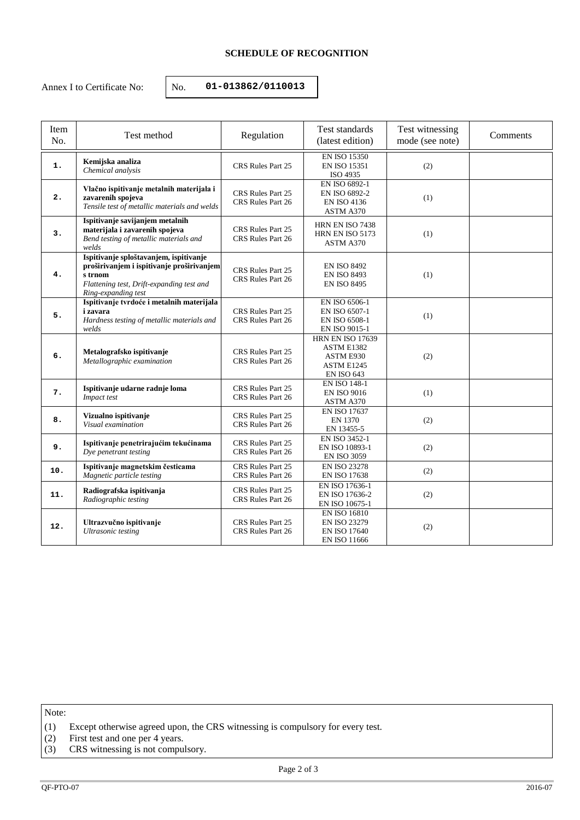# **SCHEDULE OF RECOGNITION**

Annex I to Certificate No:  $\vert$  No. **01-013862/0110013** 

| Item<br>No. | Test method                                                                                                                                                        | Regulation                             | Test standards<br>(latest edition)                                                       | Test witnessing<br>mode (see note) | Comments |
|-------------|--------------------------------------------------------------------------------------------------------------------------------------------------------------------|----------------------------------------|------------------------------------------------------------------------------------------|------------------------------------|----------|
| 1.          | Kemijska analiza<br>Chemical analysis                                                                                                                              | CRS Rules Part 25                      | <b>EN ISO 15350</b><br><b>EN ISO 15351</b><br>ISO 4935                                   | (2)                                |          |
| 2.          | Vlačno ispitivanje metalnih materijala i<br>zavarenih spojeva<br>Tensile test of metallic materials and welds                                                      | CRS Rules Part 25<br>CRS Rules Part 26 | EN ISO 6892-1<br>EN ISO 6892-2<br><b>EN ISO 4136</b><br>ASTM A370                        | (1)                                |          |
| 3.          | Ispitivanje savijanjem metalnih<br>materijala i zavarenih spojeva<br>Bend testing of metallic materials and<br>welds                                               | CRS Rules Part 25<br>CRS Rules Part 26 | HRN EN ISO 7438<br>HRN EN ISO 5173<br>ASTM A370                                          | (1)                                |          |
| 4.          | Ispitivanje sploštavanjem, ispitivanje<br>proširivanjem i ispitivanje proširivanjem<br>s trnom<br>Flattening test, Drift-expanding test and<br>Ring-expanding test | CRS Rules Part 25<br>CRS Rules Part 26 | <b>EN ISO 8492</b><br><b>EN ISO 8493</b><br><b>EN ISO 8495</b>                           | (1)                                |          |
| 5.          | Ispitivanje tvrdoće i metalnih materijala<br><i>i</i> zavara<br>Hardness testing of metallic materials and<br>welds                                                | CRS Rules Part 25<br>CRS Rules Part 26 | EN ISO 6506-1<br>EN ISO 6507-1<br>EN ISO 6508-1<br><b>EN ISO 9015-1</b>                  | (1)                                |          |
| 6.          | Metalografsko ispitivanje<br>Metallographic examination                                                                                                            | CRS Rules Part 25<br>CRS Rules Part 26 | <b>HRN EN ISO 17639</b><br>ASTM E1382<br>ASTM E930<br>ASTM E1245<br><b>EN ISO 643</b>    | (2)                                |          |
| 7.          | Ispitivanje udarne radnje loma<br>Impact test                                                                                                                      | CRS Rules Part 25<br>CRS Rules Part 26 | <b>EN ISO 148-1</b><br><b>EN ISO 9016</b><br>ASTM A370                                   | (1)                                |          |
| 8.          | Vizualno ispitivanje<br>Visual examination                                                                                                                         | CRS Rules Part 25<br>CRS Rules Part 26 | <b>EN ISO 17637</b><br>EN 1370<br>EN 13455-5                                             | (2)                                |          |
| 9.          | Ispitivanje penetrirajućim tekućinama<br>Dye penetrant testing                                                                                                     | CRS Rules Part 25<br>CRS Rules Part 26 | EN ISO 3452-1<br>EN ISO 10893-1<br><b>EN ISO 3059</b>                                    | (2)                                |          |
| 10.         | Ispitivanje magnetskim česticama<br>Magnetic particle testing                                                                                                      | CRS Rules Part 25<br>CRS Rules Part 26 | <b>EN ISO 23278</b><br><b>EN ISO 17638</b>                                               | (2)                                |          |
| 11.         | Radiografska ispitivanja<br>Radiographic testing                                                                                                                   | CRS Rules Part 25<br>CRS Rules Part 26 | EN ISO 17636-1<br>EN ISO 17636-2<br>EN ISO 10675-1                                       | (2)                                |          |
| 12.         | Ultrazvučno ispitivanje<br><b>Ultrasonic</b> testing                                                                                                               | CRS Rules Part 25<br>CRS Rules Part 26 | <b>EN ISO 16810</b><br><b>EN ISO 23279</b><br><b>EN ISO 17640</b><br><b>EN ISO 11666</b> | (2)                                |          |

Note:

- (1) Except otherwise agreed upon, the CRS witnessing is compulsory for every test.
- (2) First test and one per 4 years.
- (3) CRS witnessing is not compulsory.

Page 2 of 3